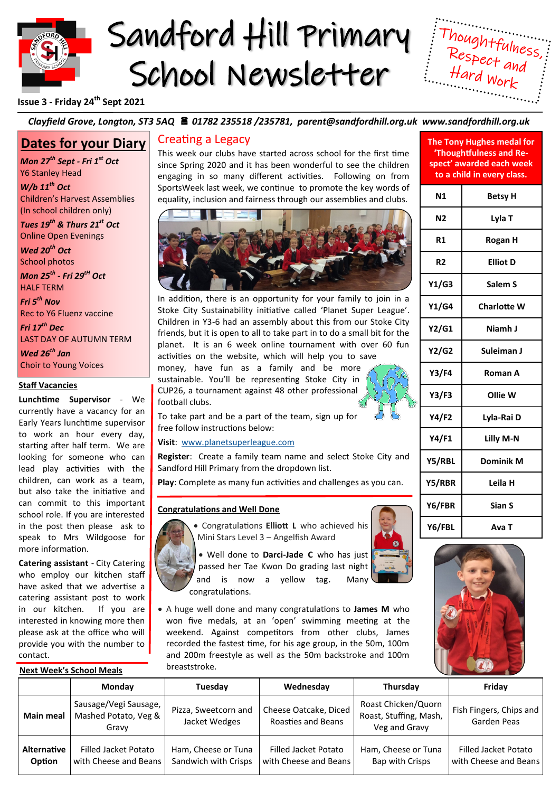

# Sandford Hill Primary School Newsletter



**The Tony Hughes medal for** 

# **Issue 3 - Friday 24th Sept 2021**

## *Clayfield Grove, Longton, ST3 5AQ 01782 235518 /235781, parent@sandfordhill.org.uk www.sandfordhill.org.uk*

# **Dates for your Diary**

*Mon 27th Sept - Fri 1st Oct*  Y6 Stanley Head

*W/b 11th Oct*  Children's Harvest Assemblies (In school children only)

*Tues 19th & Thurs 21st Oct*  Online Open Evenings

*Wed 20th Oct*  School photos

*Mon 25th - Fri 29tH Oct* HALF TERM

*Fri 5th Nov*  Rec to Y6 Fluenz vaccine

*Fri 17th Dec*  LAST DAY OF AUTUMN TERM

*Wed 26th Jan* Choir to Young Voices

#### **Staff Vacancies**

**Lunchtime Supervisor** - We currently have a vacancy for an Early Years lunchtime supervisor to work an hour every day, starting after half term. We are looking for someone who can lead play activities with the children, can work as a team, but also take the initiative and can commit to this important school role. If you are interested in the post then please ask to speak to Mrs Wildgoose for more information.

**Catering assistant** - City Catering who employ our kitchen staff have asked that we advertise a catering assistant post to work in our kitchen. If you are interested in knowing more then please ask at the office who will provide you with the number to contact.

**Next Week's School Meals**

# Creating a Legacy

This week our clubs have started across school for the first time since Spring 2020 and it has been wonderful to see the children engaging in so many different activities. Following on from SportsWeek last week, we continue to promote the key words of equality, inclusion and fairness through our assemblies and clubs.



In addition, there is an opportunity for your family to join in a Stoke City Sustainability initiative called 'Planet Super League'. Children in Y3-6 had an assembly about this from our Stoke City friends, but it is open to all to take part in to do a small bit for the planet. It is an 6 week online tournament with over 60 fun activities on the website, which will help you to save money, have fun as a family and be more

sustainable. You'll be representing Stoke City in CUP26, a tournament against 48 other professional football clubs.

To take part and be a part of the team, sign up for free follow instructions below:

**Visit**: [www.planetsuperleague.com](https://www.planetsuperleague.com)

**Register**: Create a family team name and select Stoke City and Sandford Hill Primary from the dropdown list.

**Play**: Complete as many fun activities and challenges as you can.

## **Congratulations and Well Done**



• Congratulations **Elliott L** who achieved his Mini Stars Level 3 – Angelfish Award

• Well done to **Darci-Jade C** who has just passed her Tae Kwon Do grading last night and is now a yellow tag. Many congratulations.

• A huge well done and many congratulations to **James M** who won five medals, at an 'open' swimming meeting at the weekend. Against competitors from other clubs, James recorded the fastest time, for his age group, in the 50m, 100m and 200m freestyle as well as the 50m backstroke and 100m breaststroke.







| 'Thoughtfulness and Re-<br>spect' awarded each week<br>to a child in every class. |                    |  |
|-----------------------------------------------------------------------------------|--------------------|--|
| N <sub>1</sub>                                                                    | Betsy H            |  |
| N2                                                                                | Lyla T             |  |
| R1                                                                                | Rogan H            |  |
| R2                                                                                | <b>Elliot D</b>    |  |
| Y1/G3                                                                             | Salem S            |  |
| Y1/G4                                                                             | <b>Charlotte W</b> |  |
| Y2/G1                                                                             | Niamh J            |  |
| Y2/G2                                                                             | Suleiman J         |  |
| <b>Y3/F4</b>                                                                      | Roman A            |  |
| Y3/F3                                                                             | Ollie W            |  |
| Y4/F2                                                                             | Lyla-Rai D         |  |
| Y4/F1                                                                             | Lilly M-N          |  |
| Y5/RBL                                                                            | <b>Dominik M</b>   |  |
| Y5/RBR                                                                            | Leila H            |  |
| Y6/FBR                                                                            | Sian S             |  |
| Y6/FBL                                                                            | Ava T              |  |